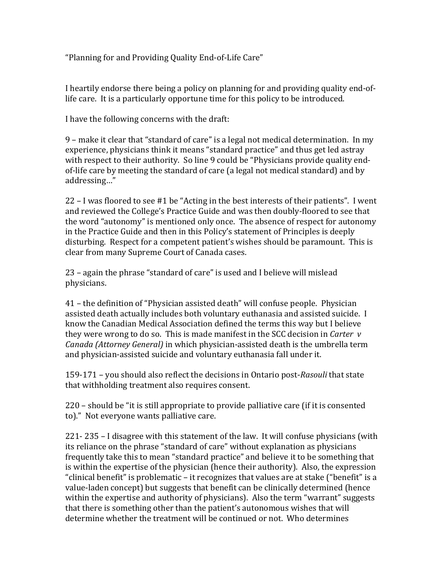"Planning for and Providing Quality End-of-Life Care"

I heartily endorse there being a policy on planning for and providing quality end-oflife care. It is a particularly opportune time for this policy to be introduced.

I have the following concerns with the draft:

9 – make it clear that "standard of care" is a legal not medical determination. In my experience, physicians think it means "standard practice" and thus get led astray with respect to their authority. So line 9 could be "Physicians provide quality endof-life care by meeting the standard of care (a legal not medical standard) and by addressing…"

22 – I was floored to see #1 be "Acting in the best interests of their patients". I went and reviewed the College's Practice Guide and was then doubly-floored to see that the word "autonomy" is mentioned only once. The absence of respect for autonomy in the Practice Guide and then in this Policy's statement of Principles is deeply disturbing. Respect for a competent patient's wishes should be paramount. This is clear from many Supreme Court of Canada cases.

23 – again the phrase "standard of care" is used and I believe will mislead physicians.

41 – the definition of "Physician assisted death" will confuse people. Physician assisted death actually includes both voluntary euthanasia and assisted suicide. I know the Canadian Medical Association defined the terms this way but I believe they were wrong to do so. This is made manifest in the SCC decision in *Carter v Canada (Attorney General)* in which physician-assisted death is the umbrella term and physician-assisted suicide and voluntary euthanasia fall under it.

159-171 – you should also reflect the decisions in Ontario post-*Rasouli* that state that withholding treatment also requires consent.

220 – should be "it is still appropriate to provide palliative care (if it is consented to)." Not everyone wants palliative care.

221- 235 – I disagree with this statement of the law. It will confuse physicians (with its reliance on the phrase "standard of care" without explanation as physicians frequently take this to mean "standard practice" and believe it to be something that is within the expertise of the physician (hence their authority). Also, the expression "clinical benefit" is problematic – it recognizes that values are at stake ("benefit" is a value-laden concept) but suggests that benefit can be clinically determined (hence within the expertise and authority of physicians). Also the term "warrant" suggests that there is something other than the patient's autonomous wishes that will determine whether the treatment will be continued or not. Who determines